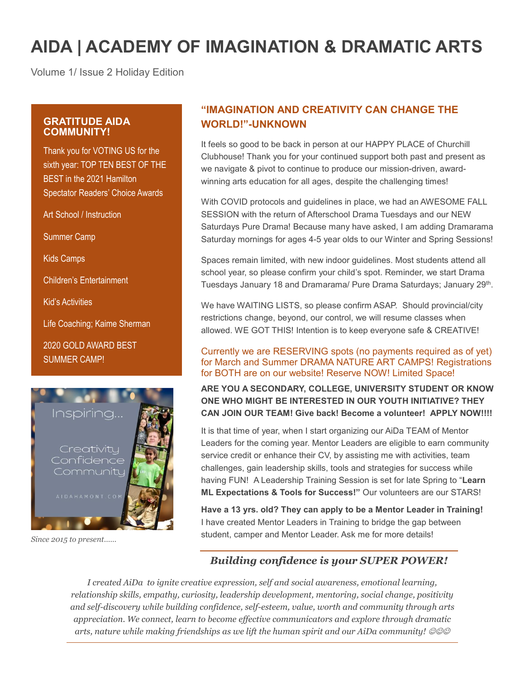# **AIDA | ACADEMY OF IMAGINATION & DRAMATIC ARTS**

Volume 1/ Issue 2 Holiday Edition

## **GRATITUDE AIDA COMMUNITY!**

Thank you for VOTING US for the sixth year: TOP TEN BEST OF THE BEST in the 2021 Hamilton Spectator Readers' Choice Awards

Art School / Instruction

Summer Camp

Kids Camps

Children's Entertainment

Kid's Activities

Life Coaching; Kaime Sherman

2020 GOLD AWARD BEST SUMMER CAMP!



*Since 2015 to present……*

# **"IMAGINATION AND CREATIVITY CAN CHANGE THE WORLD!"-UNKNOWN**

It feels so good to be back in person at our HAPPY PLACE of Churchill Clubhouse! Thank you for your continued support both past and present as we navigate & pivot to continue to produce our mission-driven, awardwinning arts education for all ages, despite the challenging times!

With COVID protocols and guidelines in place, we had an AWESOME FALL SESSION with the return of Afterschool Drama Tuesdays and our NEW Saturdays Pure Drama! Because many have asked, I am adding Dramarama Saturday mornings for ages 4-5 year olds to our Winter and Spring Sessions!

Spaces remain limited, with new indoor guidelines. Most students attend all school year, so please confirm your child's spot. Reminder, we start Drama Tuesdays January 18 and Dramarama/ Pure Drama Saturdays; January 29<sup>th</sup>.

We have WAITING LISTS, so please confirm ASAP. Should provincial/city restrictions change, beyond, our control, we will resume classes when allowed. WE GOT THIS! Intention is to keep everyone safe & CREATIVE!

## Currently we are RESERVING spots (no payments required as of yet) for March and Summer DRAMA NATURE ART CAMPS! Registrations for BOTH are on our website! Reserve NOW! Limited Space!

**ARE YOU A SECONDARY, COLLEGE, UNIVERSITY STUDENT OR KNOW ONE WHO MIGHT BE INTERESTED IN OUR YOUTH INITIATIVE? THEY CAN JOIN OUR TEAM! Give back! Become a volunteer! APPLY NOW!!!!**

It is that time of year, when I start organizing our AiDa TEAM of Mentor Leaders for the coming year. Mentor Leaders are eligible to earn community service credit or enhance their CV, by assisting me with activities, team challenges, gain leadership skills, tools and strategies for success while having FUN! A Leadership Training Session is set for late Spring to "**Learn ML Expectations & Tools for Success!"** Our volunteers are our STARS!

**Have a 13 yrs. old? They can apply to be a Mentor Leader in Training!** I have created Mentor Leaders in Training to bridge the gap between student, camper and Mentor Leader. Ask me for more details!

# *Building confidence is your SUPER POWER!*

*I created AiDa to ignite creative expression, self and social awareness, emotional learning, relationship skills, empathy, curiosity, leadership development, mentoring, social change, positivity and self-discovery while building confidence, self-esteem, value, worth and community through arts appreciation. We connect, learn to become effective communicators and explore through dramatic arts, nature while making friendships as we lift the human spirit and our AiDa community!*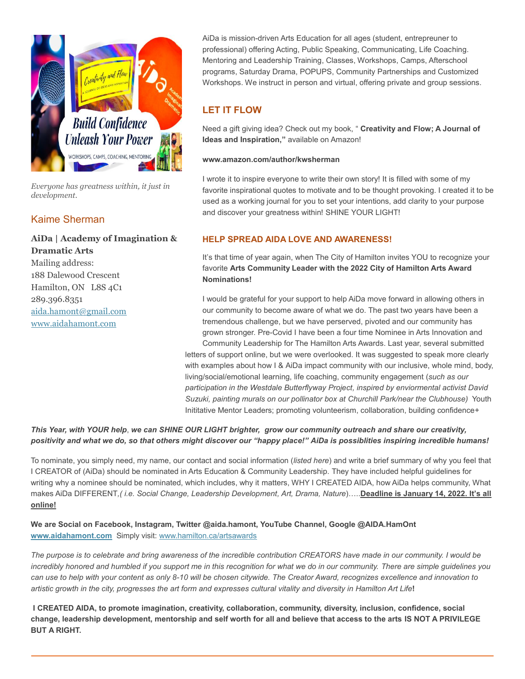

*Everyone has greatness within, it just in development.*

# Kaime Sherman

# **AiDa | Academy of Imagination &**

**Dramatic Arts** Mailing address: 188 Dalewood Crescent Hamilton, ON L8S 4C1 289.396.8351 [aida.hamont@gmail.com](mailto:aida.hamont@gmail.com) [www.aidahamont.com](http://www.aidahamont.com/)

AiDa is mission-driven Arts Education for all ages (student, entrepreuner to professional) offering Acting, Public Speaking, Communicating, Life Coaching. Mentoring and Leadership Training, Classes, Workshops, Camps, Afterschool programs, Saturday Drama, POPUPS, Community Partnerships and Customized Workshops. We instruct in person and virtual, offering private and group sessions.

## **LET IT FLOW**

Need a gift giving idea? Check out my book, " **Creativity and Flow; A Journal of Ideas and Inspiration,"** available on Amazon!

#### **www.amazon.com/author/kwsherman**

I wrote it to inspire everyone to write their own story! It is filled with some of my favorite inspirational quotes to motivate and to be thought provoking. I created it to be used as a working journal for you to set your intentions, add clarity to your purpose and discover your greatness within! SHINE YOUR LIGHT!

## **HELP SPREAD AIDA LOVE AND AWARENESS!**

It's that time of year again, when The City of Hamilton invites YOU to recognize your favorite **Arts Community Leader with the 2022 City of Hamilton Arts Award Nominations!** 

I would be grateful for your support to help AiDa move forward in allowing others in our community to become aware of what we do. The past two years have been a tremendous challenge, but we have perserved, pivoted and our community has grown stronger. Pre-Covid I have been a four time Nominee in Arts Innovation and Community Leadership for The Hamilton Arts Awards. Last year, several submitted letters of support online, but we were overlooked. It was suggested to speak more clearly with examples about how I & AiDa impact community with our inclusive, whole mind, body, living/social/emotional learning, life coaching, community engagement (*such as our participation in the Westdale Butterflyway Project, inspired by enviormental activist David* 

*Suzuki, painting murals on our pollinator box at Churchill Park/near the Clubhouse)* Youth Inititative Mentor Leaders; promoting volunteerism, collaboration, building confidence+

## *This Year, with YOUR help*, *we can SHINE OUR LIGHT brighter, grow our community outreach and share our creativity, positivity and what we do, so that others might discover our "happy place!" AiDa is possiblities inspiring incredible humans!*

To nominate, you simply need, my name, our contact and social information (*listed here*) and write a brief summary of why you feel that I CREATOR of (AiDa) should be nominated in Arts Education & Community Leadership. They have included helpful guidelines for writing why a nominee should be nominated, which includes, why it matters, WHY I CREATED AIDA, how AiDa helps community, What makes AiDa DIFFERENT*,( i.e. Social Change, Leadership Development, Art, Drama, Nature*)…..**Deadline is January 14, 2022. It's all online!**

**We are Social on Facebook, Instagram, Twitter @aida.hamont, YouTube Channel, Google @AIDA.HamOnt [www.aidahamont.com](http://www.aidahamont.com/)** Simply visit[: www.hamilton.ca/artsawards](http://www.hamilton.ca/artsawards)

*The purpose is to celebrate and bring awareness of the incredible contribution CREATORS have made in our community. I would be incredibly honored and humbled if you support me in this recognition for what we do in our community. There are simple guidelines you can use to help with your content as only 8-10 will be chosen citywide. The Creator Award, recognizes excellence and innovation to artistic growth in the city, progresses the art form and expresses cultural vitality and diversity in Hamilton Art Life***!**

**I CREATED AIDA, to promote imagination, creativity, collaboration, community, diversity, inclusion, confidence, social change, leadership development, mentorship and self worth for all and believe that access to the arts IS NOT A PRIVILEGE BUT A RIGHT.**